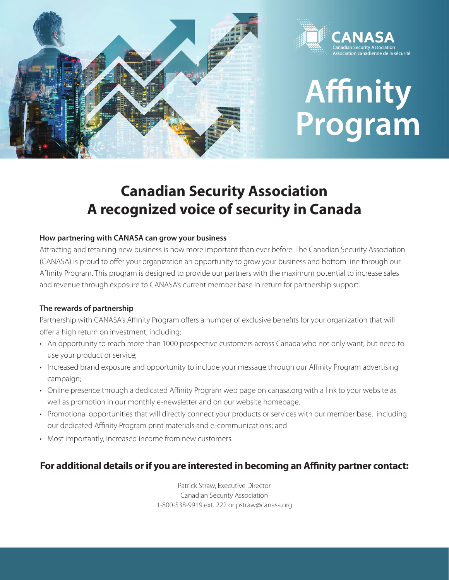



# **Affinity<br>Program**

# **Canadian Security Association A recognized voice of security in Canada**

## **How partnering with CANASA can grow your business**

Attracting and retaining new business is now more important than ever before. The Canadian Security Association (CANASA) is proud to offer your organization an opportunity to grow your business and bottom line through our Affinity Program. This program is designed to provide our partners with the maximum potential to increase sales and revenue through exposure to CANASA's current member base in return for partnership support.

### **The rewards of partnership**

Partnership with CANASA's Affinity Program offers a number of exclusive benefits for your organization that will offer a high return on investment, including:

- An opportunity to reach more than 1000 prospective customers across Canada who not only want, but need to use your product or service;
- Increased brand exposure and opportunity to include your message through our Affinity Program advertising campaign;
- Online presence through a dedicated Affinity Program web page on canasa.org with a link to your website as well as promotion in our monthly e-newsletter and on our website homepage.
- Promotional opportunities that will directly connect your products or services with our member base, including our dedicated Affinity Program print materials and e-communications; and
- Most importantly, increased income from new customers.

# **For additional details or if you are interested in becoming an Affinity partner contact:**

Patrick Straw, Executive Director Canadian Security Association 1-800-538-9919 ext. 222 or pstraw@canasa.org